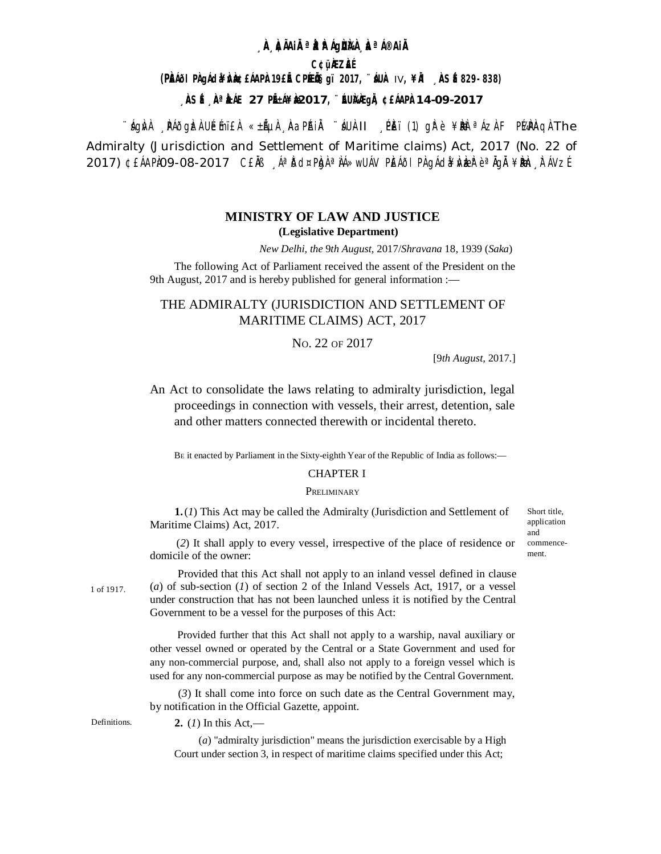## **A AIAIRªA AIQUAA A AIAIA**

**C¢üÀZÀÉ** 

(PŘÍII PÀ JÁ da LÁ PÀ 19E E CPÉ IS 9 1017, "ÍUÀ IV, ¥IÀ À SÉ 829-838)

 $\hat{A}$ SÉ  $\hat{A}$ <sup>a</sup> $\hat{A}$ AE 27 PIEA¥ $\hat{A}$ 2017,  $\hat{B}$ IDIA $\hat{A}$ qi $\hat{A}$  ¢£AAPA 14-09-2017

``ÁQNA PÁÕQDEA UÉMIEA «±ÃUA AQPAIA ``ÁUA-II PEI(1) QPè¥DDE AZAF PÁPAQAThe Admiralty (Jurisdiction and Settlement of Maritime claims) Act, 2017 (No. 22 of 2017) ¢£ÁAPÌO9-08-2017 C£Ĭŀ ¸ÁªĬōd¤PÌgÀªÌÁ»wUÁV PÌEÁðI PÌ gÁdî¥ÌVÌziÈ è ªĬgĬ ¥ÌÐÈh ,Ì ÁVZÉ

# **MINISTRY OF LAW AND JUSTICE** (Legislative Department)

New Delhi, the 9th August, 2017/Shravana 18, 1939 (Saka)

The following Act of Parliament received the assent of the President on the 9th August, 2017 and is hereby published for general information :-

# THE ADMIRALTY (JURISDICTION AND SETTLEMENT OF MARITIME CLAIMS) ACT, 2017

### No. 22 OF 2017

[ $9th$  August, 2017.]

An Act to consolidate the laws relating to admiralty jurisdiction, legal proceedings in connection with vessels, their arrest, detention, sale and other matters connected therewith or incidental thereto.

BE it enacted by Parliament in the Sixty-eighth Year of the Republic of India as follows:-

## **CHAPTER I**

### PRELIMINARY

 $1.(1)$  This Act may be called the Admiralty (Jurisdiction and Settlement of Maritime Claims) Act, 2017.

(2) It shall apply to every vessel, irrespective of the place of residence or domicile of the owner:

1 of 1917.

Provided that this Act shall not apply to an inland vessel defined in clause (a) of sub-section (1) of section 2 of the Inland Vessels Act, 1917, or a vessel under construction that has not been launched unless it is notified by the Central Government to be a vessel for the purposes of this Act:

Provided further that this Act shall not apply to a warship, naval auxiliary or other vessel owned or operated by the Central or a State Government and used for any non-commercial purpose, and, shall also not apply to a foreign vessel which is used for any non-commercial purpose as may be notified by the Central Government.

(3) It shall come into force on such date as the Central Government may, by notification in the Official Gazette, appoint.

Definitions

2. (1) In this Act,—

 $(a)$  "admiralty jurisdiction" means the jurisdiction exercisable by a High Court under section 3, in respect of maritime claims specified under this Act;

Short title. application and commencement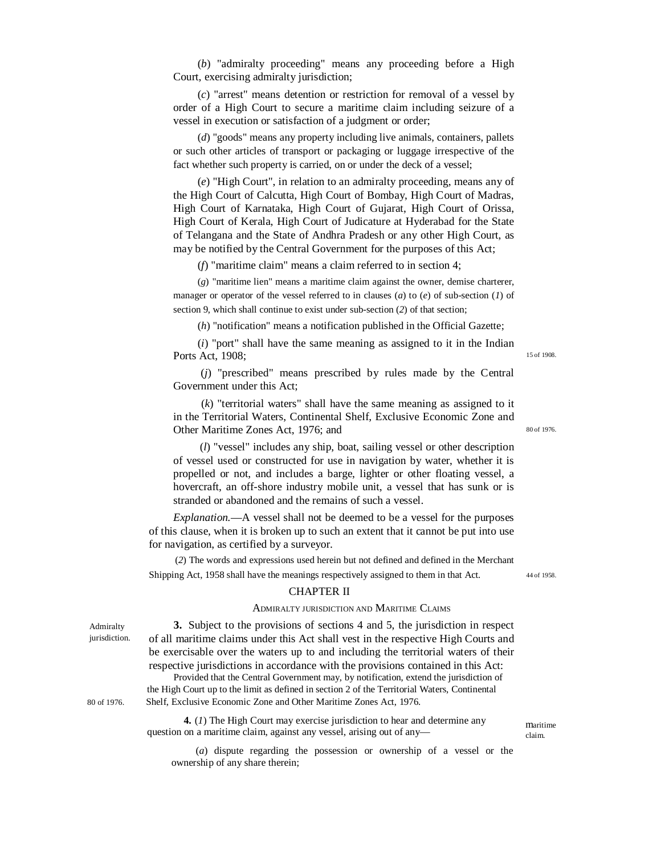(*b*) "admiralty proceeding" means any proceeding before a High Court, exercising admiralty jurisdiction;

(*c*) "arrest" means detention or restriction for removal of a vessel by order of a High Court to secure a maritime claim including seizure of a vessel in execution or satisfaction of a judgment or order;

(*d*) "goods" means any property including live animals, containers, pallets or such other articles of transport or packaging or luggage irrespective of the fact whether such property is carried, on or under the deck of a vessel;

(*e*) "High Court", in relation to an admiralty proceeding, means any of the High Court of Calcutta, High Court of Bombay, High Court of Madras, High Court of Karnataka, High Court of Gujarat, High Court of Orissa, High Court of Kerala, High Court of Judicature at Hyderabad for the State of Telangana and the State of Andhra Pradesh or any other High Court, as may be notified by the Central Government for the purposes of this Act;

(*f*) "maritime claim" means a claim referred to in section 4;

(*g*) "maritime lien" means a maritime claim against the owner, demise charterer, manager or operator of the vessel referred to in clauses (*a*) to (*e*) of sub-section (*1*) of section 9, which shall continue to exist under sub-section (*2*) of that section;

(*h*) "notification" means a notification published in the Official Gazette;

(*i*) "port" shall have the same meaning as assigned to it in the Indian Ports Act, 1908;

(*j*) "prescribed" means prescribed by rules made by the Central Government under this Act;

(*k*) "territorial waters" shall have the same meaning as assigned to it in the Territorial Waters, Continental Shelf, Exclusive Economic Zone and Other Maritime Zones Act, 1976; and

(*l*) "vessel" includes any ship, boat, sailing vessel or other description of vessel used or constructed for use in navigation by water, whether it is propelled or not, and includes a barge, lighter or other floating vessel, a hovercraft, an off-shore industry mobile unit, a vessel that has sunk or is stranded or abandoned and the remains of such a vessel.

*Explanation.*—A vessel shall not be deemed to be a vessel for the purposes of this clause, when it is broken up to such an extent that it cannot be put into use for navigation, as certified by a surveyor.

(*2*) The words and expressions used herein but not defined and defined in the Merchant Shipping Act, 1958 shall have the meanings respectively assigned to them in that Act.

44 of 1958.

maritime claim.

#### CHAPTER II

### ADMIRALTY JURISDICTION AND MARITIME CLAIMS

**3.** Subject to the provisions of sections 4 and 5, the jurisdiction in respect of all maritime claims under this Act shall vest in the respective High Courts and be exercisable over the waters up to and including the territorial waters of their respective jurisdictions in accordance with the provisions contained in this Act:

Provided that the Central Government may, by notification, extend the jurisdiction of the High Court up to the limit as defined in section 2 of the Territorial Waters, Continental 80 of 1976. Shelf, Exclusive Economic Zone and Other Maritime Zones Act, 1976.

> **4.** (*1*) The High Court may exercise jurisdiction to hear and determine any question on a maritime claim, against any vessel, arising out of any—

(*a*) dispute regarding the possession or ownership of a vessel or the ownership of any share therein;

Admiralty jurisdiction.

15 of 1908.

80 of 1976.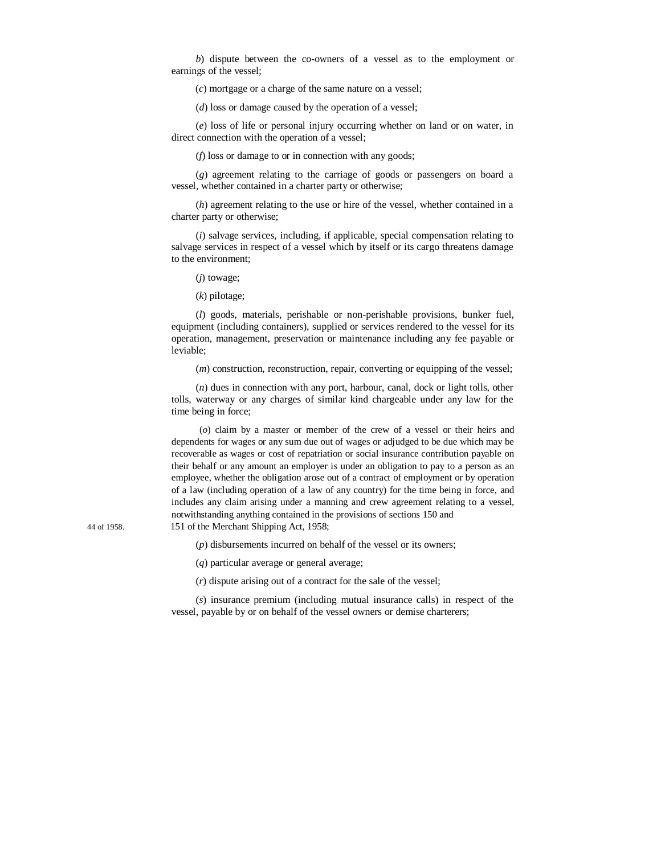*b*) dispute between the co-owners of a vessel as to the employment or earnings of the vessel;

(*c*) mortgage or a charge of the same nature on a vessel;

(*d*) loss or damage caused by the operation of a vessel;

(*e*) loss of life or personal injury occurring whether on land or on water, in direct connection with the operation of a vessel;

(*f*) loss or damage to or in connection with any goods;

(*g*) agreement relating to the carriage of goods or passengers on board a vessel, whether contained in a charter party or otherwise;

(*h*) agreement relating to the use or hire of the vessel, whether contained in a charter party or otherwise;

(*i*) salvage services, including, if applicable, special compensation relating to salvage services in respect of a vessel which by itself or its cargo threatens damage to the environment;

(*j*) towage;

(*k*) pilotage;

(*l*) goods, materials, perishable or non-perishable provisions, bunker fuel, equipment (including containers), supplied or services rendered to the vessel for its operation, management, preservation or maintenance including any fee payable or leviable;

(*m*) construction, reconstruction, repair, converting or equipping of the vessel;

(*n*) dues in connection with any port, harbour, canal, dock or light tolls, other tolls, waterway or any charges of similar kind chargeable under any law for the time being in force;

(*o*) claim by a master or member of the crew of a vessel or their heirs and dependents for wages or any sum due out of wages or adjudged to be due which may be recoverable as wages or cost of repatriation or social insurance contribution payable on their behalf or any amount an employer is under an obligation to pay to a person as an employee, whether the obligation arose out of a contract of employment or by operation of a law (including operation of a law of any country) for the time being in force, and includes any claim arising under a manning and crew agreement relating to a vessel, notwithstanding anything contained in the provisions of sections 150 and 44 of 1958. 151 of the Merchant Shipping Act, 1958;

(*p*) disbursements incurred on behalf of the vessel or its owners;

(*q*) particular average or general average;

(*r*) dispute arising out of a contract for the sale of the vessel;

(*s*) insurance premium (including mutual insurance calls) in respect of the vessel, payable by or on behalf of the vessel owners or demise charterers;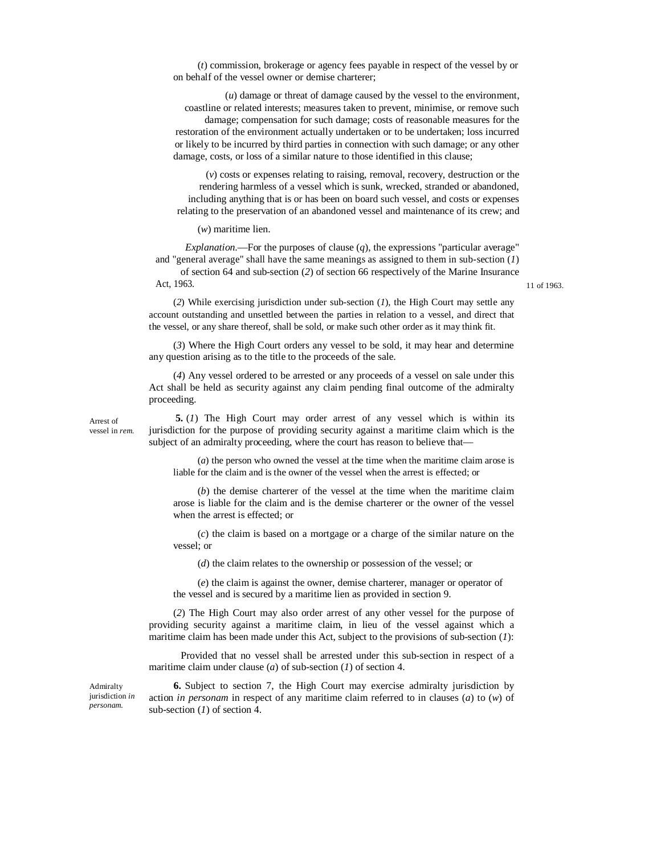(*t*) commission, brokerage or agency fees payable in respect of the vessel by or on behalf of the vessel owner or demise charterer;

(*u*) damage or threat of damage caused by the vessel to the environment, coastline or related interests; measures taken to prevent, minimise, or remove such damage; compensation for such damage; costs of reasonable measures for the restoration of the environment actually undertaken or to be undertaken; loss incurred or likely to be incurred by third parties in connection with such damage; or any other damage, costs, or loss of a similar nature to those identified in this clause;

(*v*) costs or expenses relating to raising, removal, recovery, destruction or the rendering harmless of a vessel which is sunk, wrecked, stranded or abandoned, including anything that is or has been on board such vessel, and costs or expenses relating to the preservation of an abandoned vessel and maintenance of its crew; and

(*w*) maritime lien.

*Explanation*.—For the purposes of clause (*q*), the expressions "particular average" and "general average" shall have the same meanings as assigned to them in sub-section (*1*) of section 64 and sub-section (*2*) of section 66 respectively of the Marine Insurance Act, 1963. 11 of 1963.

(*2*) While exercising jurisdiction under sub-section (*1*), the High Court may settle any account outstanding and unsettled between the parties in relation to a vessel, and direct that the vessel, or any share thereof, shall be sold, or make such other order as it may think fit.

(*3*) Where the High Court orders any vessel to be sold, it may hear and determine any question arising as to the title to the proceeds of the sale.

(*4*) Any vessel ordered to be arrested or any proceeds of a vessel on sale under this Act shall be held as security against any claim pending final outcome of the admiralty proceeding.

Arrest of vessel in *rem*.

**5.** (*1*) The High Court may order arrest of any vessel which is within its jurisdiction for the purpose of providing security against a maritime claim which is the subject of an admiralty proceeding, where the court has reason to believe that—

(*a*) the person who owned the vessel at the time when the maritime claim arose is liable for the claim and is the owner of the vessel when the arrest is effected; or

(*b*) the demise charterer of the vessel at the time when the maritime claim arose is liable for the claim and is the demise charterer or the owner of the vessel when the arrest is effected; or

(*c*) the claim is based on a mortgage or a charge of the similar nature on the vessel; or

(*d*) the claim relates to the ownership or possession of the vessel; or

(*e*) the claim is against the owner, demise charterer, manager or operator of the vessel and is secured by a maritime lien as provided in section 9.

(*2*) The High Court may also order arrest of any other vessel for the purpose of providing security against a maritime claim, in lieu of the vessel against which a maritime claim has been made under this Act, subject to the provisions of sub-section (*1*):

Provided that no vessel shall be arrested under this sub-section in respect of a maritime claim under clause (*a*) of sub-section (*1*) of section 4.

Admiralty jurisdiction *in personam.*

**6.** Subject to section 7, the High Court may exercise admiralty jurisdiction by action *in personam* in respect of any maritime claim referred to in clauses (*a*) to (*w*) of sub-section (*1*) of section 4.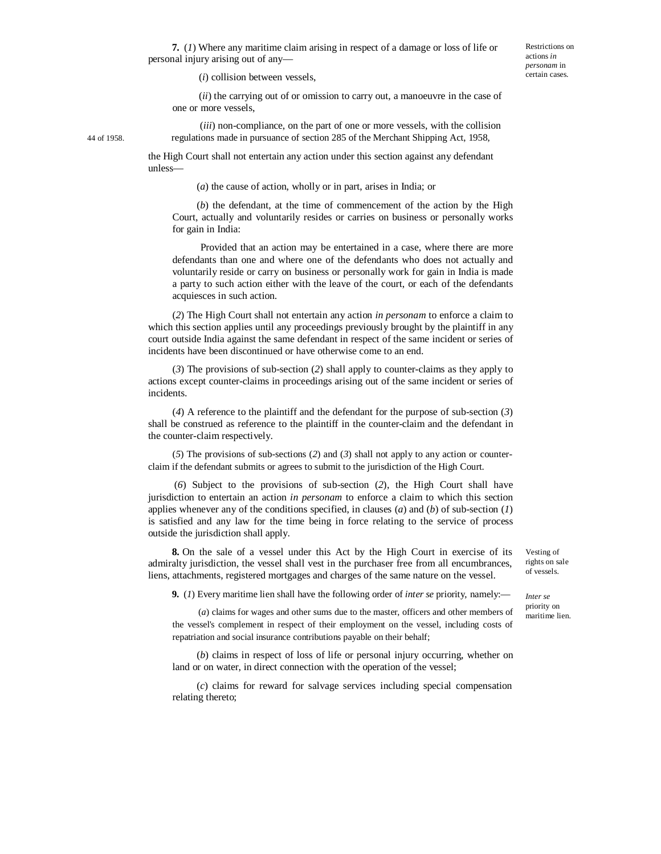(*i*) collision between vessels,

personal injury arising out of any—

(*ii*) the carrying out of or omission to carry out, a manoeuvre in the case of one or more vessels,

(*iii*) non-compliance, on the part of one or more vessels, with the collision 44 of 1958. regulations made in pursuance of section 285 of the Merchant Shipping Act, 1958,

the High Court shall not entertain any action under this section against any defendant unless—

(*a*) the cause of action, wholly or in part, arises in India; or

(*b*) the defendant, at the time of commencement of the action by the High Court, actually and voluntarily resides or carries on business or personally works for gain in India:

Provided that an action may be entertained in a case, where there are more defendants than one and where one of the defendants who does not actually and voluntarily reside or carry on business or personally work for gain in India is made a party to such action either with the leave of the court, or each of the defendants acquiesces in such action.

(*2*) The High Court shall not entertain any action *in personam* to enforce a claim to which this section applies until any proceedings previously brought by the plaintiff in any court outside India against the same defendant in respect of the same incident or series of incidents have been discontinued or have otherwise come to an end.

(*3*) The provisions of sub-section (*2*) shall apply to counter-claims as they apply to actions except counter-claims in proceedings arising out of the same incident or series of incidents.

(*4*) A reference to the plaintiff and the defendant for the purpose of sub-section (*3*) shall be construed as reference to the plaintiff in the counter-claim and the defendant in the counter-claim respectively.

(*5*) The provisions of sub-sections (*2*) and (*3*) shall not apply to any action or counterclaim if the defendant submits or agrees to submit to the jurisdiction of the High Court.

(*6*) Subject to the provisions of sub-section (*2*), the High Court shall have jurisdiction to entertain an action *in personam* to enforce a claim to which this section applies whenever any of the conditions specified, in clauses (*a*) and (*b*) of sub-section (*1*) is satisfied and any law for the time being in force relating to the service of process outside the jurisdiction shall apply.

**8.** On the sale of a vessel under this Act by the High Court in exercise of its admiralty jurisdiction, the vessel shall vest in the purchaser free from all encumbrances, liens, attachments, registered mortgages and charges of the same nature on the vessel.

Vesting of rights on sale of vessels.

*Inter se*  priority on maritime lien.

**9.** (*1*) Every maritime lien shall have the following order of *inter se* priority, namely:—

(*a*) claims for wages and other sums due to the master, officers and other members of the vessel's complement in respect of their employment on the vessel, including costs of repatriation and social insurance contributions payable on their behalf;

(*b*) claims in respect of loss of life or personal injury occurring, whether on land or on water, in direct connection with the operation of the vessel;

(*c*) claims for reward for salvage services including special compensation relating thereto;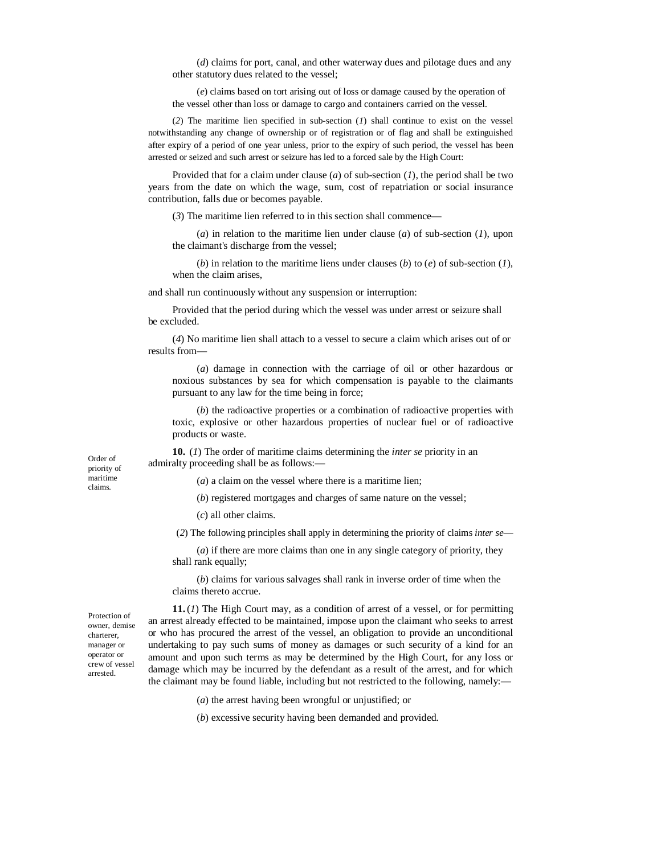(*d*) claims for port, canal, and other waterway dues and pilotage dues and any other statutory dues related to the vessel;

(*e*) claims based on tort arising out of loss or damage caused by the operation of the vessel other than loss or damage to cargo and containers carried on the vessel.

(*2*) The maritime lien specified in sub-section (*1*) shall continue to exist on the vessel notwithstanding any change of ownership or of registration or of flag and shall be extinguished after expiry of a period of one year unless, prior to the expiry of such period, the vessel has been arrested or seized and such arrest or seizure has led to a forced sale by the High Court:

Provided that for a claim under clause (*a*) of sub-section (*1*), the period shall be two years from the date on which the wage, sum, cost of repatriation or social insurance contribution, falls due or becomes payable.

(*3*) The maritime lien referred to in this section shall commence—

(*a*) in relation to the maritime lien under clause (*a*) of sub-section (*1*), upon the claimant's discharge from the vessel;

(*b*) in relation to the maritime liens under clauses (*b*) to (*e*) of sub-section (*1*), when the claim arises,

and shall run continuously without any suspension or interruption:

Provided that the period during which the vessel was under arrest or seizure shall be excluded.

(*4*) No maritime lien shall attach to a vessel to secure a claim which arises out of or results from—

(*a*) damage in connection with the carriage of oil or other hazardous or noxious substances by sea for which compensation is payable to the claimants pursuant to any law for the time being in force;

(*b*) the radioactive properties or a combination of radioactive properties with toxic, explosive or other hazardous properties of nuclear fuel or of radioactive products or waste.

**10.** (*1*) The order of maritime claims determining the *inter se* priority in an admiralty proceeding shall be as follows:—

(*a*) a claim on the vessel where there is a maritime lien;

(*b*) registered mortgages and charges of same nature on the vessel;

(*c*) all other claims.

(*2*) The following principles shall apply in determining the priority of claims *inter se*—

(*a*) if there are more claims than one in any single category of priority, they shall rank equally;

(*b*) claims for various salvages shall rank in inverse order of time when the claims thereto accrue.

Protection of owner, demise charterer, manager or operator or crew of vessel arrested.

Order of priority of maritime claims.

> **11.**(*1*) The High Court may, as a condition of arrest of a vessel, or for permitting an arrest already effected to be maintained, impose upon the claimant who seeks to arrest or who has procured the arrest of the vessel, an obligation to provide an unconditional undertaking to pay such sums of money as damages or such security of a kind for an amount and upon such terms as may be determined by the High Court, for any loss or damage which may be incurred by the defendant as a result of the arrest, and for which the claimant may be found liable, including but not restricted to the following, namely:—

> > (*a*) the arrest having been wrongful or unjustified; or

(*b*) excessive security having been demanded and provided.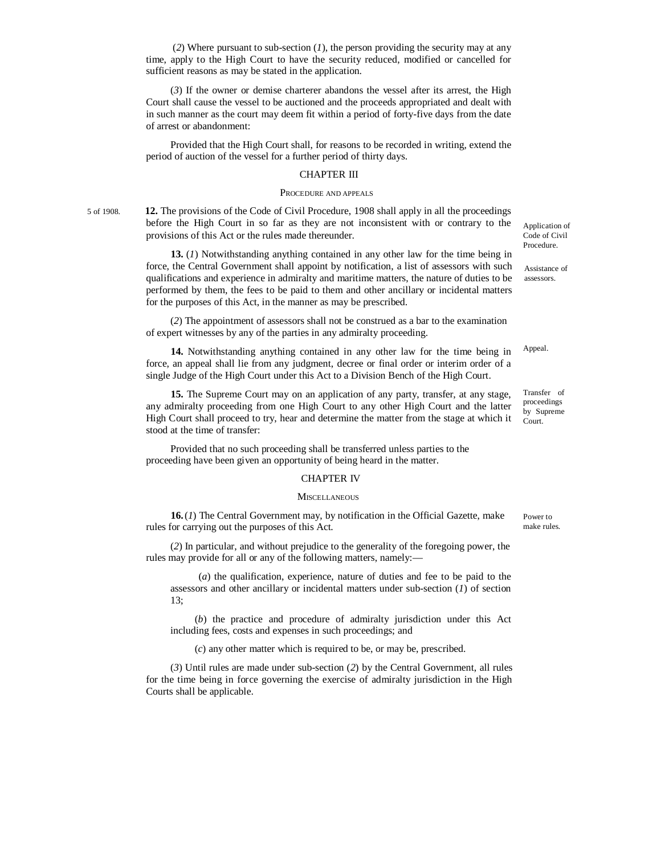(*2*) Where pursuant to sub-section (*1*), the person providing the security may at any time, apply to the High Court to have the security reduced, modified or cancelled for sufficient reasons as may be stated in the application.

(*3*) If the owner or demise charterer abandons the vessel after its arrest, the High Court shall cause the vessel to be auctioned and the proceeds appropriated and dealt with in such manner as the court may deem fit within a period of forty-five days from the date of arrest or abandonment:

Provided that the High Court shall, for reasons to be recorded in writing, extend the period of auction of the vessel for a further period of thirty days.

### CHAPTER III

#### PROCEDURE AND APPEALS

5 of 1908. **12.** The provisions of the Code of Civil Procedure, 1908 shall apply in all the proceedings before the High Court in so far as they are not inconsistent with or contrary to the provisions of this Act or the rules made thereunder.

> **13.** (*1*) Notwithstanding anything contained in any other law for the time being in force, the Central Government shall appoint by notification, a list of assessors with such qualifications and experience in admiralty and maritime matters, the nature of duties to be performed by them, the fees to be paid to them and other ancillary or incidental matters for the purposes of this Act, in the manner as may be prescribed.

(*2*) The appointment of assessors shall not be construed as a bar to the examination of expert witnesses by any of the parties in any admiralty proceeding.

**14.** Notwithstanding anything contained in any other law for the time being in force, an appeal shall lie from any judgment, decree or final order or interim order of a single Judge of the High Court under this Act to a Division Bench of the High Court.

**15.** The Supreme Court may on an application of any party, transfer, at any stage, any admiralty proceeding from one High Court to any other High Court and the latter High Court shall proceed to try, hear and determine the matter from the stage at which it stood at the time of transfer:

Provided that no such proceeding shall be transferred unless parties to the proceeding have been given an opportunity of being heard in the matter.

### CHAPTER IV

#### **MISCELLANEOUS**

**16.**(*1*) The Central Government may, by notification in the Official Gazette, make rules for carrying out the purposes of this Act.

(*2*) In particular, and without prejudice to the generality of the foregoing power, the rules may provide for all or any of the following matters, namely:—

(*a*) the qualification, experience, nature of duties and fee to be paid to the assessors and other ancillary or incidental matters under sub-section (*1*) of section 13;

(*b*) the practice and procedure of admiralty jurisdiction under this Act including fees, costs and expenses in such proceedings; and

(*c*) any other matter which is required to be, or may be, prescribed.

(*3*) Until rules are made under sub-section (*2*) by the Central Government, all rules for the time being in force governing the exercise of admiralty jurisdiction in the High Courts shall be applicable.

Application of Code of Civil Procedure.

Assistance of assessors.

Appeal.

Transfer of proceedings by Supreme Court.

Power to make rules.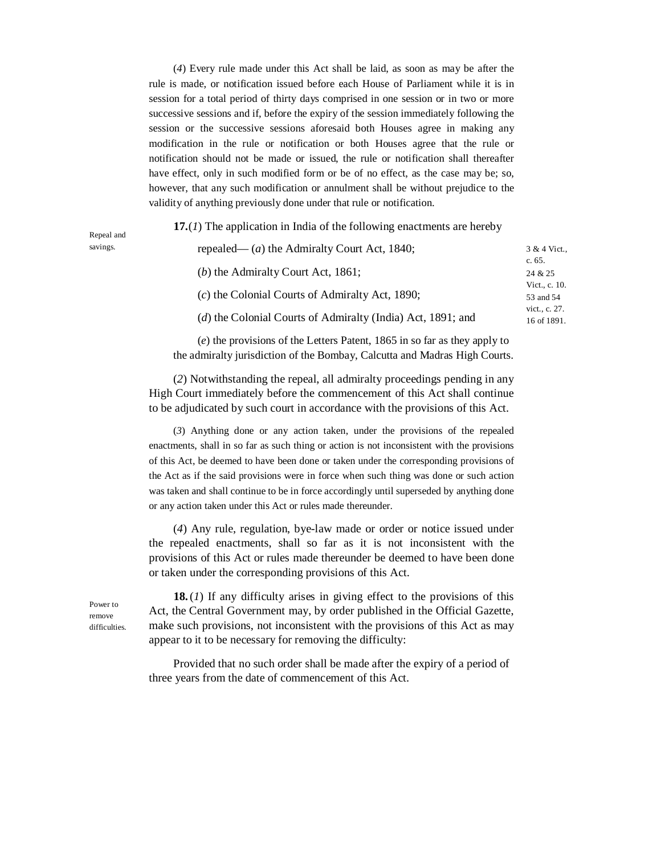(*4*) Every rule made under this Act shall be laid, as soon as may be after the rule is made, or notification issued before each House of Parliament while it is in session for a total period of thirty days comprised in one session or in two or more successive sessions and if, before the expiry of the session immediately following the session or the successive sessions aforesaid both Houses agree in making any modification in the rule or notification or both Houses agree that the rule or notification should not be made or issued, the rule or notification shall thereafter have effect, only in such modified form or be of no effect, as the case may be; so, however, that any such modification or annulment shall be without prejudice to the validity of anything previously done under that rule or notification.

**17.**(*1*) The application in India of the following enactments are hereby

| repealed— ( <i>a</i> ) the Admiralty Court Act, 1840;       | 3 & 4 Vict.,<br>c. $65.$     |
|-------------------------------------------------------------|------------------------------|
| (b) the Admiralty Court Act, 1861;                          | 24 & 25                      |
| $(c)$ the Colonial Courts of Admiralty Act, 1890;           | Vict., c. 10.<br>53 and 54   |
| (d) the Colonial Courts of Admiralty (India) Act, 1891; and | vict., c. 27.<br>16 of 1891. |

(*e*) the provisions of the Letters Patent, 1865 in so far as they apply to the admiralty jurisdiction of the Bombay, Calcutta and Madras High Courts.

(*2*) Notwithstanding the repeal, all admiralty proceedings pending in any High Court immediately before the commencement of this Act shall continue to be adjudicated by such court in accordance with the provisions of this Act.

(*3*) Anything done or any action taken, under the provisions of the repealed enactments, shall in so far as such thing or action is not inconsistent with the provisions of this Act, be deemed to have been done or taken under the corresponding provisions of the Act as if the said provisions were in force when such thing was done or such action was taken and shall continue to be in force accordingly until superseded by anything done or any action taken under this Act or rules made thereunder.

(*4*) Any rule, regulation, bye-law made or order or notice issued under the repealed enactments, shall so far as it is not inconsistent with the provisions of this Act or rules made thereunder be deemed to have been done or taken under the corresponding provisions of this Act.

Power to remove difficulties.

Repeal and savings.

> **18.**(*1*) If any difficulty arises in giving effect to the provisions of this Act, the Central Government may, by order published in the Official Gazette, make such provisions, not inconsistent with the provisions of this Act as may appear to it to be necessary for removing the difficulty:

Provided that no such order shall be made after the expiry of a period of three years from the date of commencement of this Act.